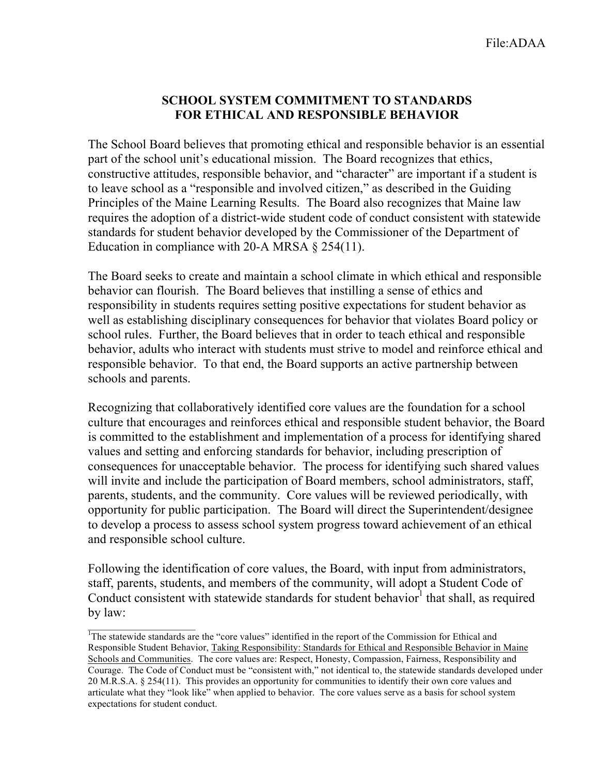## **SCHOOL SYSTEM COMMITMENT TO STANDARDS FOR ETHICAL AND RESPONSIBLE BEHAVIOR**

The School Board believes that promoting ethical and responsible behavior is an essential part of the school unit's educational mission. The Board recognizes that ethics, constructive attitudes, responsible behavior, and "character" are important if a student is to leave school as a "responsible and involved citizen," as described in the Guiding Principles of the Maine Learning Results. The Board also recognizes that Maine law requires the adoption of a district-wide student code of conduct consistent with statewide standards for student behavior developed by the Commissioner of the Department of Education in compliance with 20-A MRSA  $\S$  254(11).

The Board seeks to create and maintain a school climate in which ethical and responsible behavior can flourish. The Board believes that instilling a sense of ethics and responsibility in students requires setting positive expectations for student behavior as well as establishing disciplinary consequences for behavior that violates Board policy or school rules. Further, the Board believes that in order to teach ethical and responsible behavior, adults who interact with students must strive to model and reinforce ethical and responsible behavior. To that end, the Board supports an active partnership between schools and parents.

Recognizing that collaboratively identified core values are the foundation for a school culture that encourages and reinforces ethical and responsible student behavior, the Board is committed to the establishment and implementation of a process for identifying shared values and setting and enforcing standards for behavior, including prescription of consequences for unacceptable behavior. The process for identifying such shared values will invite and include the participation of Board members, school administrators, staff, parents, students, and the community. Core values will be reviewed periodically, with opportunity for public participation. The Board will direct the Superintendent/designee to develop a process to assess school system progress toward achievement of an ethical and responsible school culture.

Following the identification of core values, the Board, with input from administrators, staff, parents, students, and members of the community, will adopt a Student Code of Conduct consistent with statewide standards for student behavior<sup>1</sup> that shall, as required by law:

 $\mathcal{L}_\text{max}$ 

<sup>&</sup>lt;sup>1</sup>The statewide standards are the "core values" identified in the report of the Commission for Ethical and Responsible Student Behavior, Taking Responsibility: Standards for Ethical and Responsible Behavior in Maine Schools and Communities. The core values are: Respect, Honesty, Compassion, Fairness, Responsibility and Courage. The Code of Conduct must be "consistent with," not identical to, the statewide standards developed under 20 M.R.S.A. § 254(11). This provides an opportunity for communities to identify their own core values and articulate what they "look like" when applied to behavior. The core values serve as a basis for school system expectations for student conduct.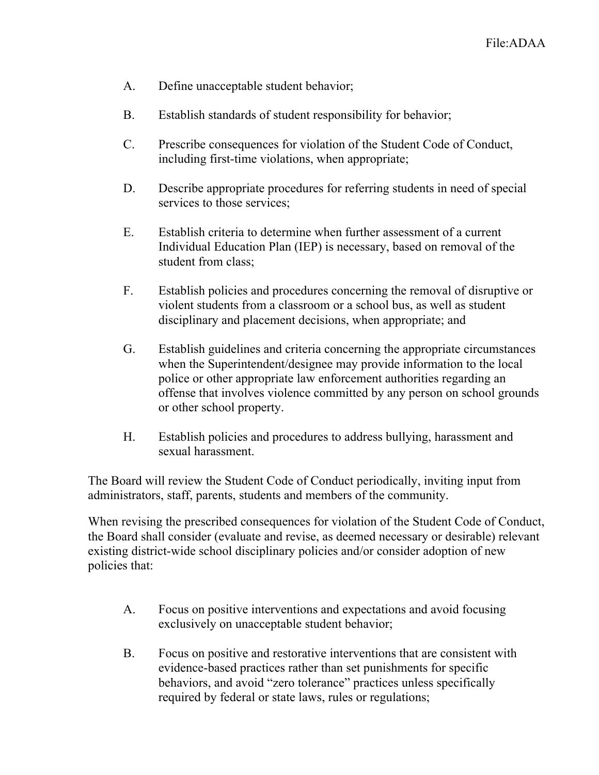- A. Define unacceptable student behavior;
- B. Establish standards of student responsibility for behavior;
- C. Prescribe consequences for violation of the Student Code of Conduct, including first-time violations, when appropriate;
- D. Describe appropriate procedures for referring students in need of special services to those services;
- E. Establish criteria to determine when further assessment of a current Individual Education Plan (IEP) is necessary, based on removal of the student from class;
- F. Establish policies and procedures concerning the removal of disruptive or violent students from a classroom or a school bus, as well as student disciplinary and placement decisions, when appropriate; and
- G. Establish guidelines and criteria concerning the appropriate circumstances when the Superintendent/designee may provide information to the local police or other appropriate law enforcement authorities regarding an offense that involves violence committed by any person on school grounds or other school property.
- H. Establish policies and procedures to address bullying, harassment and sexual harassment.

The Board will review the Student Code of Conduct periodically, inviting input from administrators, staff, parents, students and members of the community.

When revising the prescribed consequences for violation of the Student Code of Conduct, the Board shall consider (evaluate and revise, as deemed necessary or desirable) relevant existing district-wide school disciplinary policies and/or consider adoption of new policies that:

- A. Focus on positive interventions and expectations and avoid focusing exclusively on unacceptable student behavior;
- B. Focus on positive and restorative interventions that are consistent with evidence-based practices rather than set punishments for specific behaviors, and avoid "zero tolerance" practices unless specifically required by federal or state laws, rules or regulations;